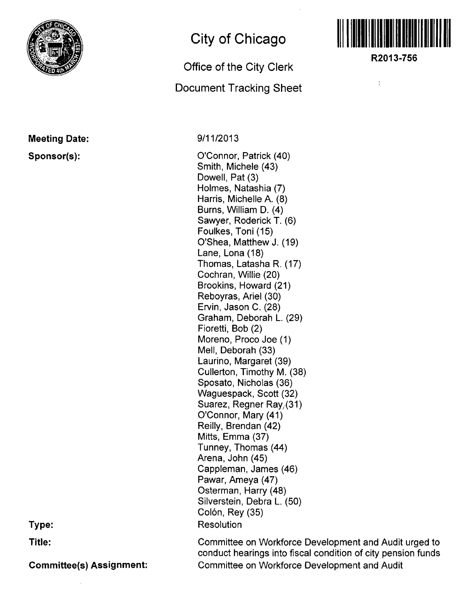

## **Meeting Date: Sponsor(s):**

**City of Chicago** 

## **Office of the City Clerk**

## **Document Tracking Sheet**

**9/11/2013** 

O'Connor, Patrick (40) Smith, Michele (43) Dowell, Pat (3) Holmes, Natashia (7) Harris, Michelle A. (8) Burns, William D. (4) Sawyer, Roderick T. (6) Foulkes, Toni (15) O'Shea, Matthew J. (19) Lane, Lona (18) Thomas, Latasha R. (17) Cochran, Willie (20) Brookins, Howard (21) Reboyras, Ariel (30) Ervin, Jason C. (28) Graham, Deborah L. (29) Fioretti, Bob (2) Moreno, Proco Joe (1) Mell, Deborah (33) Laurino, Margaret (39) Cullerton, Timothy M. (38) Sposato, Nicholas (36) Waguespack, Scott (32) Suarez, Regner Ray, (31) O'Connor, Mary (41) Reilly, Brendan (42) Mitts, Emma (37) Tunney, Thomas (44) Arena, John (45) Cappleman, James (46) Pawar, Ameya (47) Osterman, Harry (48) Silverstein, Debra L. (50) Colón, Rey (35) Resolution



**R2013-756** 

 $\frac{1}{4}$ 

**Type:** 

**Title:** 

**Committee(s) Assignment:** 

Committee on Workforce Development and Audit urged to conduct hearings into fiscal condition of city pension funds Committee on Workforce Development and Audit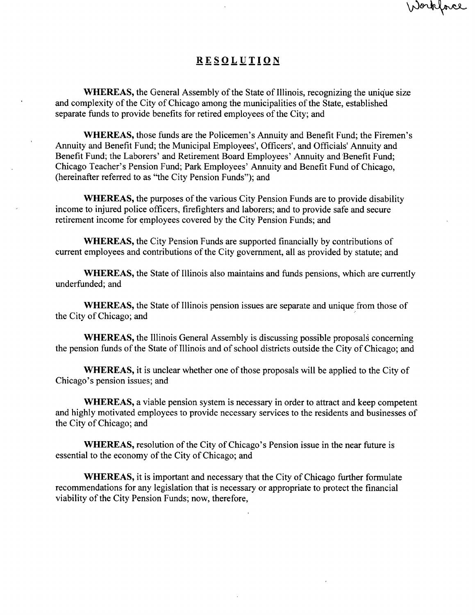## **RESOLUTIO N**

Workface

WHEREAS, the General Assembly of the State of Illinois, recognizing the unique size and complexity of the City of Chicago among the municipalities of the State, established separate funds to provide benefits for retired employees of the City; and

WHEREAS, those funds are the Policemen's Armuity and Benefit Fund; the Firemen's Annuity and Benefit Fund; the Municipal Employees', Officers', and Officials' Annuity and Benefit Fund; the Laborers' and Retirement Board Employees' Armuity and Benefit Fund; Chicago Teacher's Pension Fund; Park Employees' Annuity and Benefit Fund of Chicago, (hereinafter referred to as "the City Pension Funds"); and

WHEREAS, the purposes of the various City Pension Funds are to provide disability income to injured police officers, firefighters and laborers; and to provide safe and secure retirement income for employees covered by the City Pension Funds; and

WHEREAS, the City Pension Funds are supported financially by contributions of current employees and contributions of the City government, all as provided by statute; and

WHEREAS, the State of Illinois also maintains and funds pensions, which are currently underfunded; and

WHEREAS, the State of Illinois pension issues are separate and unique from those of the City of Chicago; and

WHEREAS, the Illinois General Assembly is discussing possible proposals concerning the pension funds of the State of Illinois and of school districts outside the City of Chicago; and

WHEREAS, it is unclear whether one of those proposals will be applied to the City of Chicago's pension issues; and

WHEREAS, a viable pension system is necessary in order to attract and keep competent and highly motivated employees to provide necessary services to the residents and businesses of the City of Chicago; and

WHEREAS, resolution of the City of Chicago's Pension issue in the near future is essential to the economy of the City of Chicago; and

WHEREAS, it is important and necessary that the City of Chicago further formulate recommendations for any legislation that is necessary or appropriate to protect the financial viability of the City Pension Funds; now, therefore,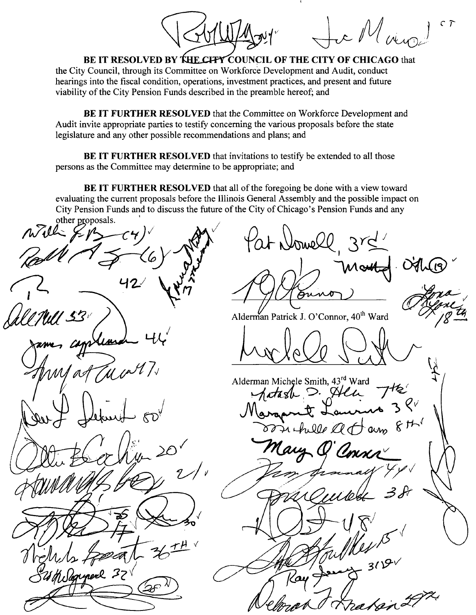*c r*  c M vii

BE IT RESOLVED BY THE CITY COUNCIL OF THE CITY OF CHICAGO that the City Council, through its Committee on Workforce Development and Audit, conduct hearings into the fiscal condition, operations, investment practices, and present and future viability of the City Pension Funds described in the preamble hereof; and

BE IT FURTHER RESOLVED that the Committee on Workforce Development and Audit invite appropriate parties to testify concerning the various proposals before the state legislature and any other possible recommendations and plans; and

BE IT FURTHER RESOLVED that invitations to testify be extended to all those persons as the Committee may determine to be appropriate; and

BE IT FURTHER RESOLVED that all of the foregoing be done with a view toward evaluating the current proposals before the Illinois General Assembly and the possible impact on City Pension Funds and to discuss the future of the City of Chicago's Pension Funds and any

other proposals. Pat Nomell *1*  Aun Alderman Patrick J. O'Connor, 40'" Ward Alderman Michele Smith, 43<sup>rd</sup> Ward<br>*Astaste D. Stelle* hille at am Mologypere 32